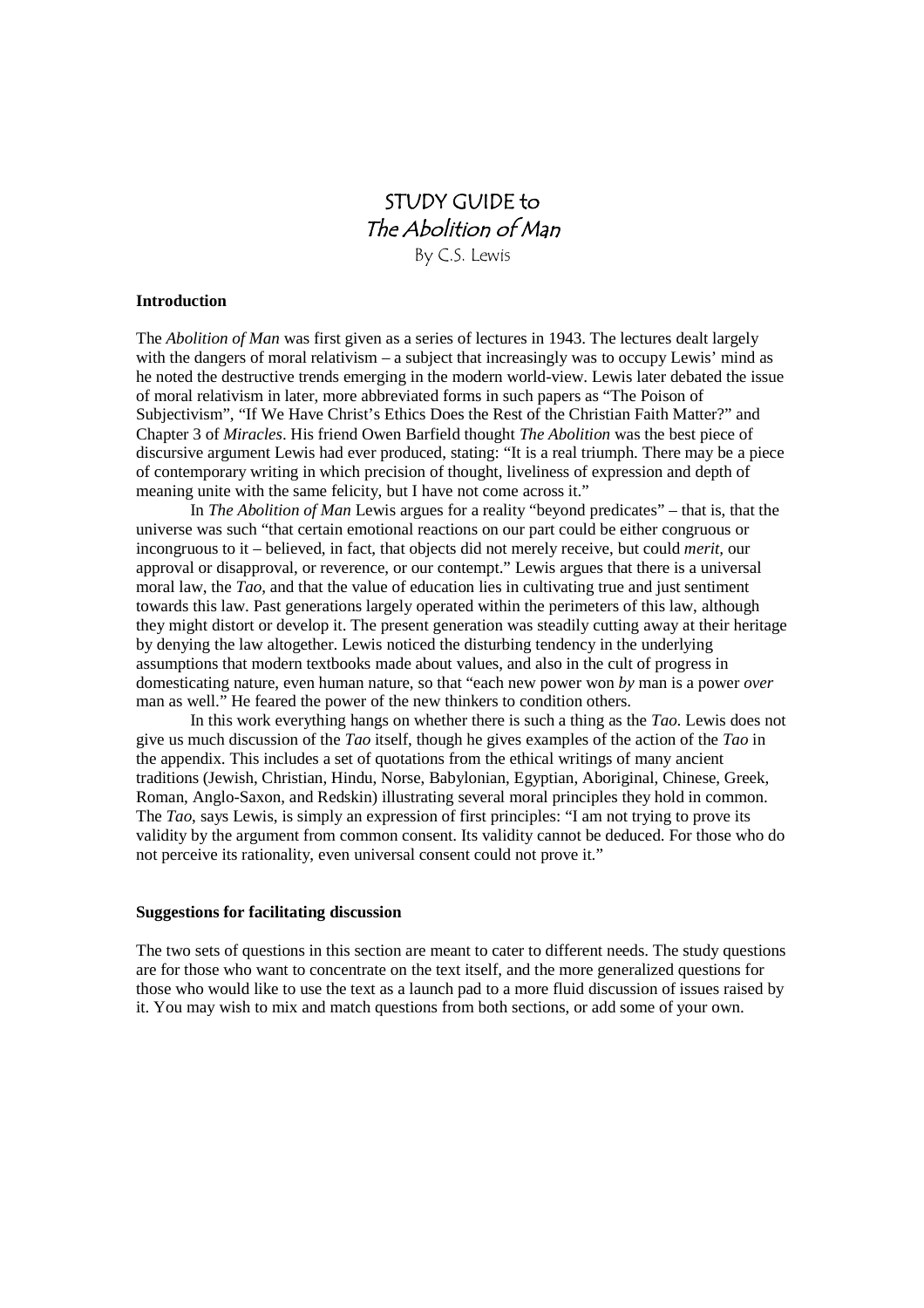# STUDY GUIDE to The Abolition of Man

By C.S. Lewis

## **Introduction**

The *Abolition of Man* was first given as a series of lectures in 1943. The lectures dealt largely with the dangers of moral relativism – a subject that increasingly was to occupy Lewis' mind as he noted the destructive trends emerging in the modern world-view. Lewis later debated the issue of moral relativism in later, more abbreviated forms in such papers as "The Poison of Subjectivism", "If We Have Christ's Ethics Does the Rest of the Christian Faith Matter?" and Chapter 3 of *Miracles*. His friend Owen Barfield thought *The Abolition* was the best piece of discursive argument Lewis had ever produced, stating: "It is a real triumph. There may be a piece of contemporary writing in which precision of thought, liveliness of expression and depth of meaning unite with the same felicity, but I have not come across it."

In *The Abolition of Man* Lewis argues for a reality "beyond predicates" – that is, that the universe was such "that certain emotional reactions on our part could be either congruous or incongruous to it – believed, in fact, that objects did not merely receive, but could *merit,* our approval or disapproval, or reverence, or our contempt." Lewis argues that there is a universal moral law, the *Tao*, and that the value of education lies in cultivating true and just sentiment towards this law. Past generations largely operated within the perimeters of this law, although they might distort or develop it. The present generation was steadily cutting away at their heritage by denying the law altogether. Lewis noticed the disturbing tendency in the underlying assumptions that modern textbooks made about values, and also in the cult of progress in domesticating nature, even human nature, so that "each new power won *by* man is a power *over* man as well." He feared the power of the new thinkers to condition others.

In this work everything hangs on whether there is such a thing as the *Tao*. Lewis does not give us much discussion of the *Tao* itself, though he gives examples of the action of the *Tao* in the appendix. This includes a set of quotations from the ethical writings of many ancient traditions (Jewish, Christian, Hindu, Norse, Babylonian, Egyptian, Aboriginal, Chinese, Greek, Roman, Anglo-Saxon, and Redskin) illustrating several moral principles they hold in common. The *Tao*, says Lewis, is simply an expression of first principles: "I am not trying to prove its validity by the argument from common consent. Its validity cannot be deduced. For those who do not perceive its rationality, even universal consent could not prove it."

# **Suggestions for facilitating discussion**

The two sets of questions in this section are meant to cater to different needs. The study questions are for those who want to concentrate on the text itself, and the more generalized questions for those who would like to use the text as a launch pad to a more fluid discussion of issues raised by it. You may wish to mix and match questions from both sections, or add some of your own.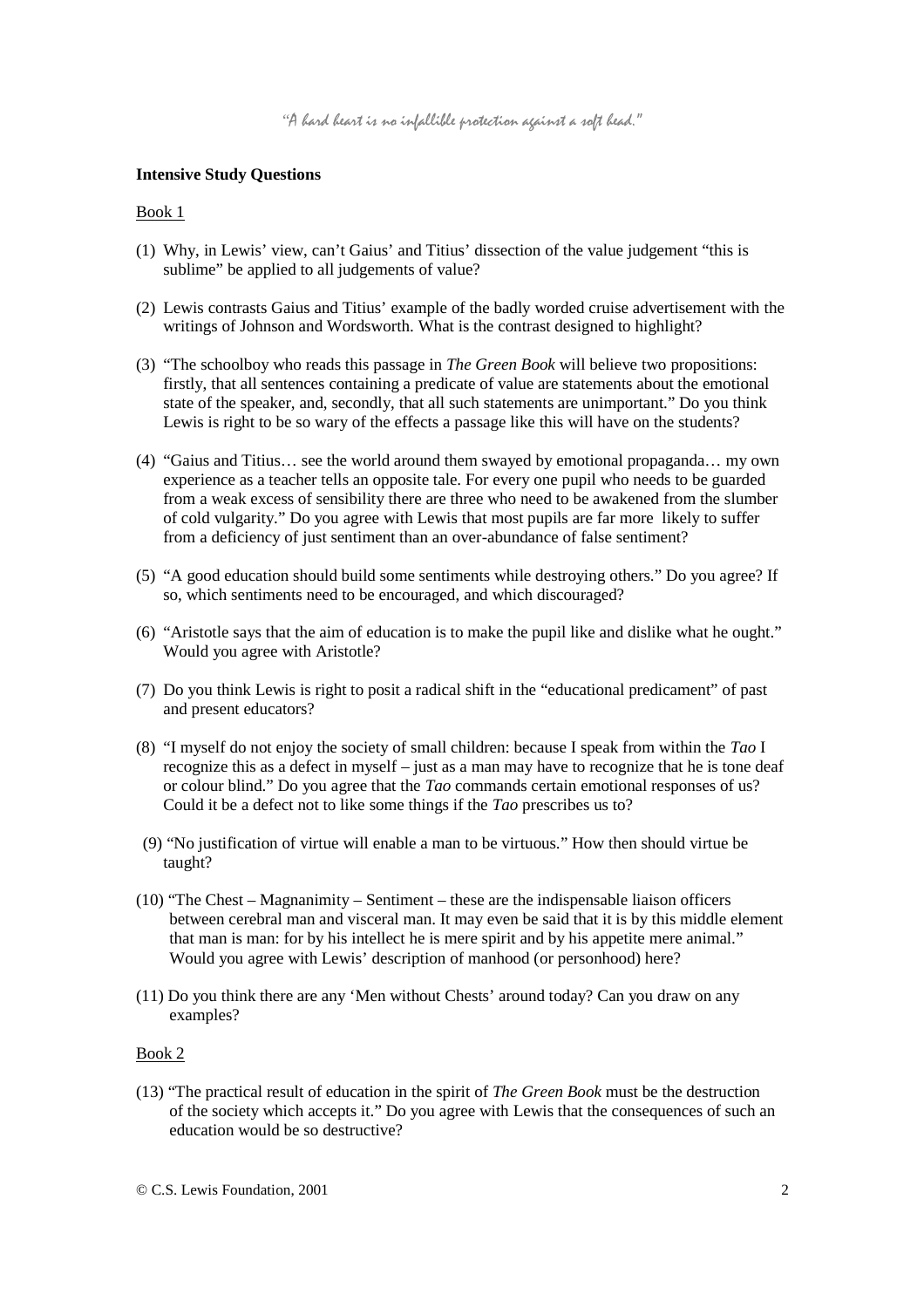## **Intensive Study Questions**

#### Book 1

- (1) Why, in Lewis' view, can't Gaius' and Titius' dissection of the value judgement "this is sublime" be applied to all judgements of value?
- (2) Lewis contrasts Gaius and Titius' example of the badly worded cruise advertisement with the writings of Johnson and Wordsworth. What is the contrast designed to highlight?
- (3) "The schoolboy who reads this passage in *The Green Book* will believe two propositions: firstly, that all sentences containing a predicate of value are statements about the emotional state of the speaker, and, secondly, that all such statements are unimportant." Do you think Lewis is right to be so wary of the effects a passage like this will have on the students?
- (4) "Gaius and Titius… see the world around them swayed by emotional propaganda… my own experience as a teacher tells an opposite tale. For every one pupil who needs to be guarded from a weak excess of sensibility there are three who need to be awakened from the slumber of cold vulgarity." Do you agree with Lewis that most pupils are far more likely to suffer from a deficiency of just sentiment than an over-abundance of false sentiment?
- (5) "A good education should build some sentiments while destroying others." Do you agree? If so, which sentiments need to be encouraged, and which discouraged?
- (6) "Aristotle says that the aim of education is to make the pupil like and dislike what he ought." Would you agree with Aristotle?
- (7) Do you think Lewis is right to posit a radical shift in the "educational predicament" of past and present educators?
- (8) "I myself do not enjoy the society of small children: because I speak from within the *Tao* I recognize this as a defect in myself – just as a man may have to recognize that he is tone deaf or colour blind." Do you agree that the *Tao* commands certain emotional responses of us? Could it be a defect not to like some things if the *Tao* prescribes us to?
- (9) "No justification of virtue will enable a man to be virtuous." How then should virtue be taught?
- (10) "The Chest Magnanimity Sentiment these are the indispensable liaison officers between cerebral man and visceral man. It may even be said that it is by this middle element that man is man: for by his intellect he is mere spirit and by his appetite mere animal." Would you agree with Lewis' description of manhood (or personhood) here?
- (11) Do you think there are any 'Men without Chests' around today? Can you draw on any examples?

## Book 2

(13) "The practical result of education in the spirit of *The Green Book* must be the destruction of the society which accepts it." Do you agree with Lewis that the consequences of such an education would be so destructive?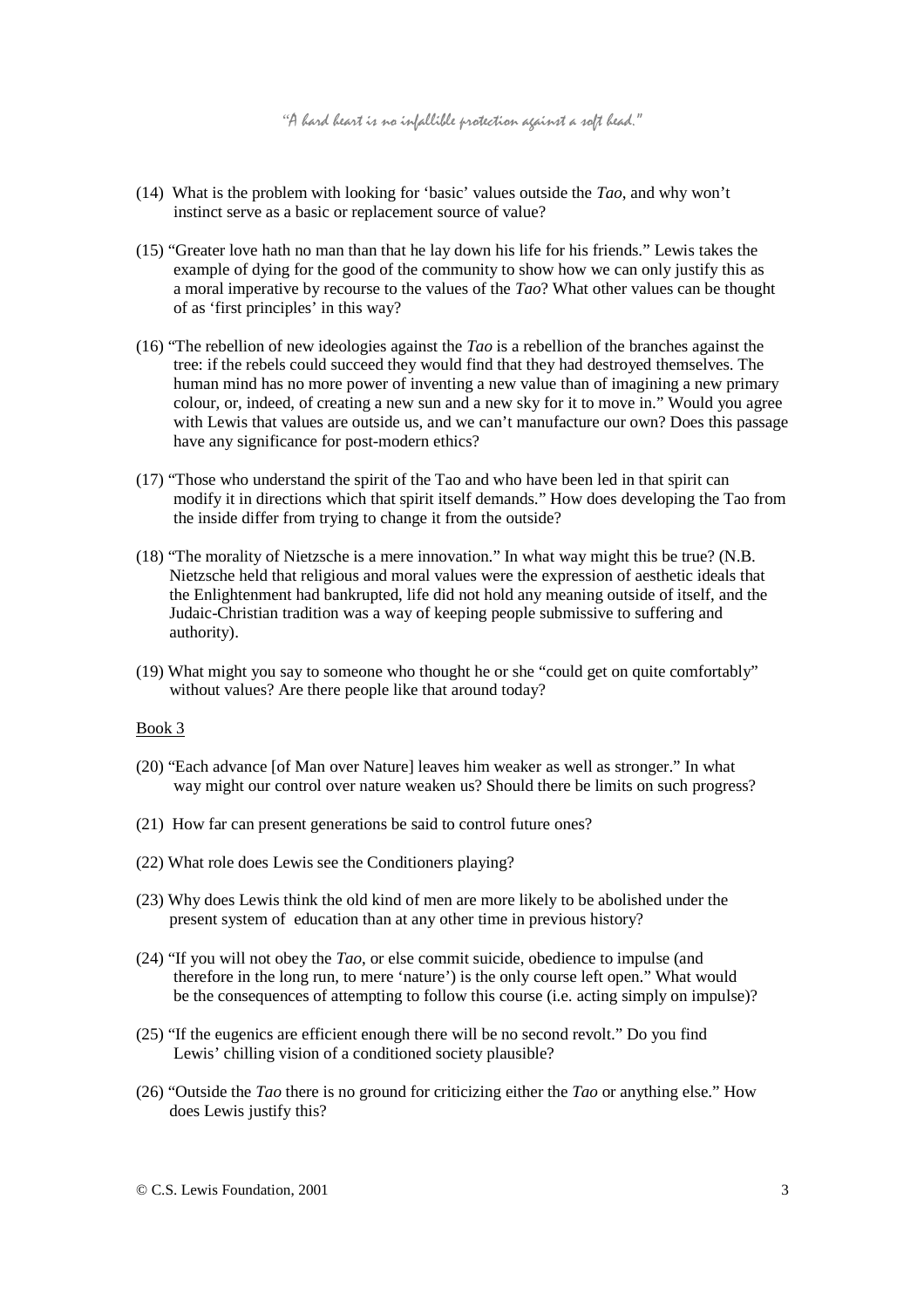- (14) What is the problem with looking for 'basic' values outside the *Tao*, and why won't instinct serve as a basic or replacement source of value?
- (15) "Greater love hath no man than that he lay down his life for his friends." Lewis takes the example of dying for the good of the community to show how we can only justify this as a moral imperative by recourse to the values of the *Tao*? What other values can be thought of as 'first principles' in this way?
- (16) "The rebellion of new ideologies against the *Tao* is a rebellion of the branches against the tree: if the rebels could succeed they would find that they had destroyed themselves. The human mind has no more power of inventing a new value than of imagining a new primary colour, or, indeed, of creating a new sun and a new sky for it to move in." Would you agree with Lewis that values are outside us, and we can't manufacture our own? Does this passage have any significance for post-modern ethics?
- (17) "Those who understand the spirit of the Tao and who have been led in that spirit can modify it in directions which that spirit itself demands." How does developing the Tao from the inside differ from trying to change it from the outside?
- (18) "The morality of Nietzsche is a mere innovation." In what way might this be true? (N.B. Nietzsche held that religious and moral values were the expression of aesthetic ideals that the Enlightenment had bankrupted, life did not hold any meaning outside of itself, and the Judaic-Christian tradition was a way of keeping people submissive to suffering and authority).
- (19) What might you say to someone who thought he or she "could get on quite comfortably" without values? Are there people like that around today?

## Book 3

- (20) "Each advance [of Man over Nature] leaves him weaker as well as stronger." In what way might our control over nature weaken us? Should there be limits on such progress?
- (21) How far can present generations be said to control future ones?
- (22) What role does Lewis see the Conditioners playing?
- (23) Why does Lewis think the old kind of men are more likely to be abolished under the present system of education than at any other time in previous history?
- (24) "If you will not obey the *Tao*, or else commit suicide, obedience to impulse (and therefore in the long run, to mere 'nature') is the only course left open." What would be the consequences of attempting to follow this course (i.e. acting simply on impulse)?
- (25) "If the eugenics are efficient enough there will be no second revolt." Do you find Lewis' chilling vision of a conditioned society plausible?
- (26) "Outside the *Tao* there is no ground for criticizing either the *Tao* or anything else." How does Lewis justify this?